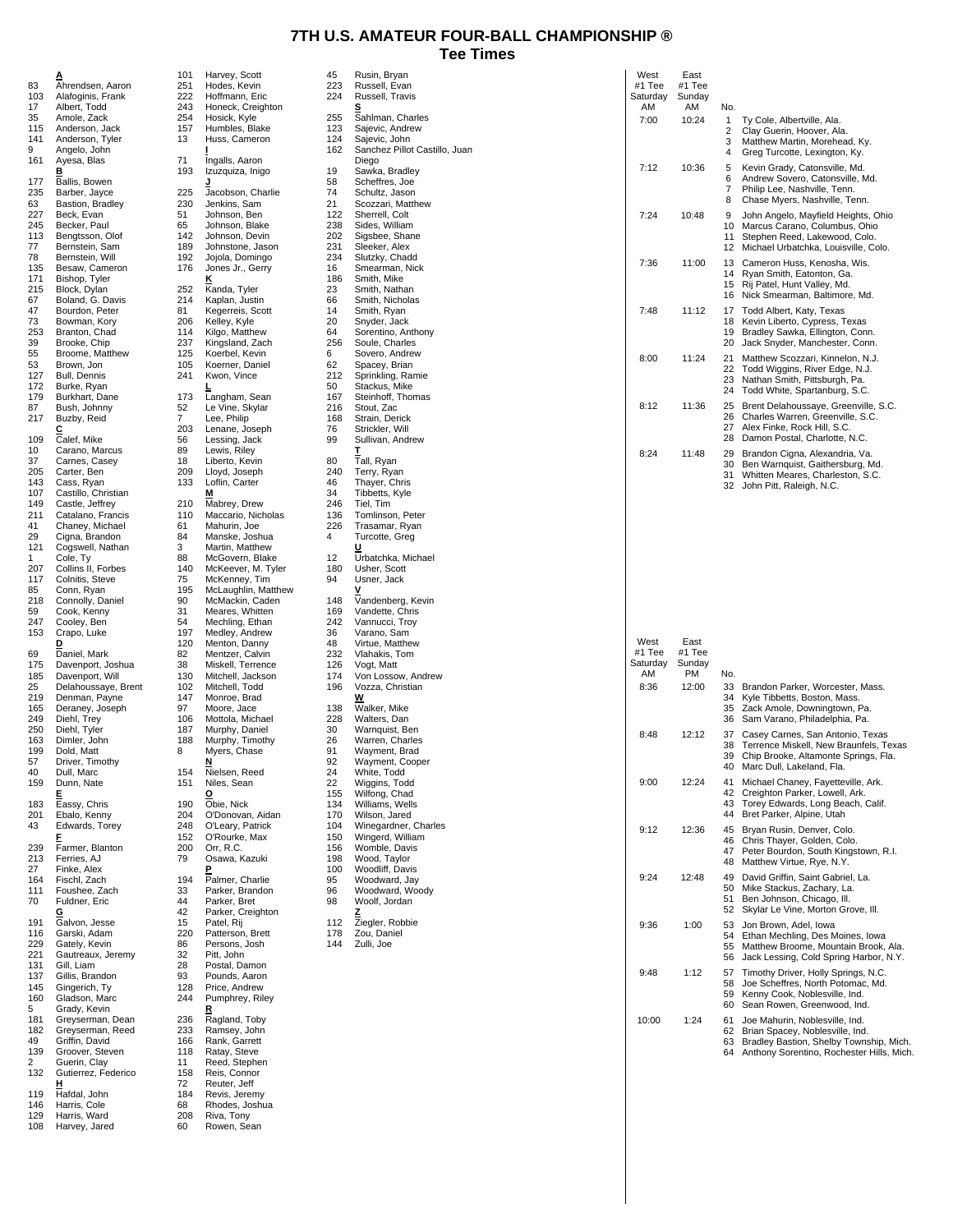## **7TH U.S. AMATEUR FOUR-BALL CHAMPIONSHIP ® Tee Times**

|            | A                                                    |
|------------|------------------------------------------------------|
| 83         | Ahrendsen, Aaron                                     |
| 103<br>17  | Alafoginis, Frank<br>Albert, Todd                    |
| 35         | Amole, Zack                                          |
| 115        | Anderson, Jack<br>Anderson, Tyler                    |
| 141<br>9   |                                                      |
| 161        | Angelo, John<br>Ayesa, Blas                          |
|            | B                                                    |
| 177<br>235 | Ballis, Bowen                                        |
| 63         | Barber, Jayce<br>Bastion, Bradley                    |
| 227        | Beck, Evan                                           |
| 245        | Becker, Paul                                         |
| 113<br>77  |                                                      |
| 78         | Bengtsson, Olof<br>Bernstein, Sam<br>Bernstein, Will |
| 135        | Besaw, Cameron<br>Bishop, Tyler<br>Block, Dylan      |
| 171<br>215 |                                                      |
| 67         | Boland, G. Davis                                     |
| 47<br>73   | Bourdon, Peter<br>Bowman, Kory                       |
| 253        | Branton, Chad                                        |
| 39         | Brooke, Chip<br>Broome, Matthew                      |
| 55<br>53   | Brown, Jon                                           |
| 127        | Bull, Dennis                                         |
| 172        | Burke, Ryan                                          |
| 179<br>87  | Burkhart, Dane<br>Bush, Johnny                       |
| 217        | Buzby, Reid                                          |
|            | Ć                                                    |
| 109<br>10  | Calef, Mike                                          |
| 37         | Carano, Marcus<br>Carnes, Casey                      |
| 205        | Carter, Ben                                          |
| 143<br>107 | Cass, Ryan                                           |
| 149        | Castillo, Christian<br>Castle, Jeffrey               |
| 211        | Catalano, Francis                                    |
| 41<br>29   | Chaney, Michael<br>Cigna, Brandon                    |
| 121        | Cogswell, Nathan                                     |
| 1          | Cole, Ty<br>Collins II, Forbes                       |
| 207<br>117 |                                                      |
| 85         | Colnitis, Steve<br>Conn, Ryan                        |
| 218        | Connolly, Daniel                                     |
| 59<br>247  | Cook, Kenny<br>Cooley, Ben                           |
| 153        | Crapo, Luke                                          |
|            | D                                                    |
| 69<br>175  | Daniel, Mark<br>Davenport, Joshua                    |
| 185        | Davenport, Will                                      |
| 25         | Delahoussaye, Brent                                  |
| 219<br>165 | Denman, Payne<br>Deraney, Joseph                     |
| 249        | Diehl, Trey<br>Diehl, Tyler                          |
| 250        |                                                      |
| 163<br>199 | Dimler, John<br>Dold, Matt                           |
| 57         | Driver, Timothy                                      |
| 40         | Dull, Marc                                           |
| 159        | Dunn, Nate<br>Ę                                      |
| 183        | Eassy, Chris                                         |
| 201<br>43  | Ebalo, Kenny<br>Edwards, Torey                       |
|            | E                                                    |
| 239        | Farmer, Blanton<br>Ferries, AJ                       |
| 213<br>27  | Finke, Alex                                          |
| 164        | Fischl, Zach                                         |
| 111        | Foushee, Zach                                        |
| 70         | Fuldner, Eric<br>G                                   |
| 191        | Galvon, Jesse                                        |
| 116        | Garski, Adam                                         |
| 229<br>221 | Gately, Kevin<br>Gautreaux, Jeremy                   |
| 131        | Gill, Liam                                           |
| 137        | Gillis, Brandon                                      |
| 145<br>160 | Gingerich, Ty<br>Gladson, Marc                       |
| 5          | Grady, Kevin                                         |
| 181        | Greyserman, Dean                                     |
| 182<br>49  | Greyserman, Reed<br>Griffin, David                   |
| 139        | Groover, Steven                                      |
| 2          | Guerin, Clay                                         |
| 132        | Gutierrez, Federico<br>н                             |
| 119        | Hafdal, John                                         |
| 146<br>129 | Harris, Cole<br>Harris, Ward                         |
| 108        | Harvey, Jared                                        |
|            |                                                      |

| 101        | Harvey, Scott<br>Hodes, Kevin                       |
|------------|-----------------------------------------------------|
| 251<br>222 | Hoffmann, Eric                                      |
| 243        | Honeck, Creighton                                   |
| 254        | Hosick, Kyle                                        |
| 157<br>13  | Humbles, Blake<br>Huss, Cameron                     |
|            | Ī                                                   |
| 71         | Ingalls, Aaron                                      |
| 193        | Izuzquiza, Inigo<br><u>ل</u>                        |
| 225        | Jacobson, Charlie                                   |
| 230        | Jenkins, Sam                                        |
| 51         | Johnson, Ben                                        |
| 65<br>142  | Johnson, Blake<br>Johnson, Devin                    |
| 189        | Johnstone, Jason                                    |
| 192        | Jojola, Domingo                                     |
| 176        | Jones Jr., Gerry<br>ĸ                               |
| 252        | Kanda, Tyler                                        |
| 214        | Kaplan, Justin                                      |
| 81<br>206  | Kegerreis, Scott<br>Kelley, Kyle                    |
| 114        | Kilgo, Matthew                                      |
| 237        | Kingsland, Zach                                     |
| 125<br>105 | Koerbel, Kevin                                      |
| 241        | Koerner, Daniel<br>Kwon, Vince                      |
|            | L                                                   |
| 173        | Langham, Sean                                       |
| 52<br>7    | Le Vine, Skylar<br>Lee, Philip                      |
| 203        | Lenane, Joseph                                      |
| 56         | Lessing, Jack                                       |
| 89<br>18   | Lewis, Riley<br>Liberto, Kevin                      |
| 209        | Lloyd, Joseph                                       |
| 133        | Loflin, Carter                                      |
|            | <u>M</u>                                            |
| 210<br>110 | Mabrey, Drew<br>Maccario, Nicholas                  |
| 61         | Mahurin, Jo <mark>e</mark>                          |
| 84         | Manske, Joshua                                      |
| 3<br>88    | Martin, Matthew<br>McGovern, Blake                  |
| 140        | McKeever, M. Tyler                                  |
| 75         | McKenney, Tim                                       |
| 195<br>90  | McLaughlin, Matthew<br>McMackin, Caden              |
| 31         | Meares, Whitten                                     |
| 54         | Mechling, Ethan                                     |
| 197<br>120 | Medley, Andrew<br>Menton, Danny                     |
| 82         |                                                     |
| 38         | Mentzer, Calvin<br>Miskell, Terrence                |
| 130<br>102 |                                                     |
| 147        | Mitchell, Jackson<br>Mitchell, Todd<br>Monroe, Brad |
| 97         | Moore, Jace                                         |
| 106        | Mottola, Michael                                    |
| 187<br>188 | Murphy, Daniel<br>Murphy, Timothy                   |
| 8          | Myers, Chase                                        |
|            | <u>N</u>                                            |
| 154<br>151 | Nielsen, Reed<br>Niles, Sean                        |
|            | $\frac{0}{2}$                                       |
| 190        | Obie, Nick                                          |
| 204<br>248 | O'Donovan, Aidan<br>O'Leary, Patrick                |
| 152        | O'Rourke, Max                                       |
| 200        | Orr, R.C.                                           |
| 79         | Osawa, Kazuki<br>P                                  |
| 194        | Palmer, Charlie                                     |
| 33         | Parker, Brandon<br>Parker, Bret                     |
| 44<br>42   | Parker, Creighton                                   |
| 15         | Patel, Rij                                          |
| 220        | Patterson, Brett                                    |
| 86         | Persons, Josh                                       |
| 32<br>28   | Pitt, John<br>Postal, Damon                         |
| 93         | Pounds, Aaron                                       |
| 128        | Price, Andrew                                       |
| 244        | Pumphrey, Riley<br>R                                |
| 236        | Ragland, Toby                                       |
| 233        | Ramsey, John                                        |
| 166<br>118 | Rank, Garrett<br>Ratay, Steve                       |
| 11         | Reed, Stephen                                       |
| 158        | Reis, Connor                                        |
| 72<br>184  | Reuter, Jeff<br>Revis, Jeremy                       |
| 68         | Rhodes, Joshua                                      |
| 208        | Riva, Tony                                          |
| 60         | Rowen, Sean                                         |

 $\overline{8}$ 

|            | ≂                                    |
|------------|--------------------------------------|
| 45         | Rusin, Bryan                         |
| 223        | Russell, Evan                        |
| 224        | Russell, Travis                      |
|            | <u>s</u>                             |
| 255        | Sahlman, Charles                     |
| 123        | Sajevic, Andrew                      |
| 124        | Sajevic, John                        |
| 162        | Sanchez Pillot Castillo, Juan        |
|            | Diego                                |
| 19         | Sawka, Bradley                       |
| 58         | Scheffres, Joe                       |
| 74         | Schultz, Jason                       |
| 21         | Scozzari, Matthew                    |
| 122        | Sherrell, Colt                       |
| 238        | Sides, William                       |
| 202        | Sigsbee, Shane                       |
| 231        | Sleeker, Alex                        |
| 234        | Slutzky, Chadd                       |
| 16         | Smearman, Nick                       |
| 186        | Smith, Mike                          |
| 23         | Smith, Nathan                        |
| 66         | Smith, Nicholas                      |
| 14         | Smith, Ryan                          |
| 20         | Snyder, Jack                         |
| 64         | Sorentino, Anthony                   |
| 256<br>6   | Soule, Charles                       |
|            | Sovero, Andrew                       |
| 62<br>212  | Spacey, Brian<br>Sprinkling, Ramie   |
| 50         | Stackus, Mike                        |
| 167        | Steinhoff, Thomas                    |
| 216        | Stout, Zac                           |
| 168        | Strain, Derick                       |
| 76         | Strickler, Will                      |
| 99         | Sullivan, Andrew                     |
|            | T                                    |
| 80         | $\bar{\bar{\mathsf{T}}}$ all, Ryan   |
| 240        | Terry, Ryan                          |
| 46         | Thayer, Chris                        |
| 34         | Tibbetts, Kyle                       |
| 246        | Tiel, Tim                            |
| 136        | Tomlinson, Peter                     |
| 226        | Trasamar, Ryan                       |
| 4          | Turcotte, Greg                       |
|            | Ų                                    |
| 12         | Urbatchka, Michael                   |
| 180        | Usher, Scott                         |
| 94         | Usner, Jack<br>٧                     |
|            |                                      |
| 148<br>169 | Vandenberg, Kevin                    |
| 242        | Vandette, Chris<br>Vannucci,<br>Troy |
| 36         | Varano, Sam                          |
| 48         | Virtue, Matthew                      |
| 232        | Vlahakis, Tom                        |
| 126        | Vogt, Matt                           |
| 174        | Von Lossow, Andrew                   |
| 196        | Vozza, Christian                     |
|            | W                                    |
| 138        | Walker, Mike                         |
| 228        | Walters, Dan                         |
| 30         | Warnquist, Ben                       |
| 26         | Warren, Charles                      |
| 91         | Wayment, Brad                        |
| 92         | Wayment, Cooper                      |
| 24         | White, Todd                          |
| 22         | Wiggins, Todd                        |
| 155        | Wilfong, Chad                        |
| 134        | Williams, Wells                      |
| 170        | Wilson, Jared                        |
| 104        | Winegardner, Charles                 |
| 150<br>156 | Wingerd, William                     |
| 198        | Womble, Davis<br>Wood, Taylor        |
| 100        | Woodliff, Davis                      |
| 95         | Woodward, Jay                        |
| 96         | Woodward, Woody                      |
| 98         | Woolf, Jordan                        |
|            | z                                    |
| 112        | Ziegler, Robbie                      |
| 178        | Zou, Daniel                          |
| 144        | Zulli, Joe                           |
|            |                                      |
|            |                                      |
|            |                                      |
|            |                                      |
|            |                                      |
|            |                                      |

| West<br>#1 Tee<br>Saturdav<br>AM | East<br>#1 Tee<br>Sunday<br>ΑM | No.                  |                                                                                                                                                           |
|----------------------------------|--------------------------------|----------------------|-----------------------------------------------------------------------------------------------------------------------------------------------------------|
| 7:00                             | 10:24                          | 1<br>2<br>3<br>4     | Ty Cole, Albertville, Ala.<br>Clay Guerin, Hoover, Ala.<br>Matthew Martin, Morehead, Ky.<br>Greg Turcotte, Lexington, Ky.                                 |
| 7:12                             | 10:36                          | 5<br>6<br>7<br>8     | Kevin Grady, Catonsville, Md.<br>Andrew Sovero, Catonsville, Md.<br>Philip Lee, Nashville, Tenn.<br>Chase Myers, Nashville, Tenn.                         |
| 7:24                             | 10:48                          | 9<br>10<br>11<br>12  | John Angelo, Mayfield Heights, Ohio<br>Marcus Carano, Columbus, Ohio<br>Stephen Reed, Lakewood, Colo.<br>Michael Urbatchka, Louisville, Colo.             |
| 7:36                             | 11:00                          | 13<br>14<br>15<br>16 | Cameron Huss, Kenosha, Wis.<br>Ryan Smith, Eatonton, Ga.<br>Rij Patel, Hunt Valley, Md.<br>Nick Smearman, Baltimore, Md.                                  |
| 7:48                             | 11:12                          | 17<br>18<br>19<br>20 | Todd Albert, Katy, Texas<br>Kevin Liberto, Cypress, Texas<br>Bradley Sawka, Ellington, Conn.<br>Jack Snyder, Manchester, Conn.                            |
| 8:00                             | 11:24                          | 21<br>22<br>23<br>24 | Matthew Scozzari, Kinnelon, N.J.<br>Todd Wiggins, River Edge, N.J.<br>Nathan Smith, Pittsburgh, Pa.<br>Todd White, Spartanburg, S.C.                      |
| 8:12                             | 11:36                          | 25<br>26<br>27<br>28 | Brent Delahoussaye, Greenville, S.C.<br>Charles Warren, Greenville, S.C.<br>Alex Finke, Rock Hill, S.C.<br>Damon Postal, Charlotte, N.C.                  |
| 8:24                             | 11:48                          | 29<br>30<br>31<br>32 | Brandon Cigna, Alexandria, Va.<br>Ben Warnquist, Gaithersburg, Md.<br>Whitten Meares, Charleston, S.C.<br>John Pitt, Raleigh, N.C.                        |
| West<br>#1 Tee                   | East<br>#1 Tee                 |                      |                                                                                                                                                           |
| Saturday<br>AM                   | Sunday<br>PM                   | No.                  |                                                                                                                                                           |
| 8:36                             | 12:00                          | 33<br>34<br>35<br>36 | Brandon Parker, Worcester, Mass.<br>Kyle Tibbetts, Boston, Mass.<br>Zack Amole, Downingtown, Pa.<br>Sam Varano, Philadelphia, Pa.                         |
| 8:48                             | 12:12                          | 37<br>38<br>39<br>40 | Casey Carnes, San Antonio, Texas<br>Terrence Miskell, New Braunfels, Texas<br>Chip Brooke, Altamonte Springs, Fla.<br>Marc Dull, Lakeland, Fla.           |
| 9:00                             | 12:24                          | 41<br>42<br>43<br>44 | Michael Chaney, Fayetteville, Ark.<br>Creighton Parker, Lowell, Ark.<br>Torey Edwards, Long Beach, Calif.<br>Bret Parker, Alpine, Utah                    |
| 9:12                             | 12:36                          | 45<br>46<br>47<br>48 | Bryan Rusin, Denver, Colo.<br>Chris Thayer, Golden, Colo.<br>Peter Bourdon, South Kingstown, R.I.<br>Matthew Virtue, Rye, N.Y.                            |
| 9:24                             | 12:48                          | 49<br>50<br>51<br>52 | David Griffin, Saint Gabriel, La.<br>Mike Stackus, Zachary, La.<br>Ben Johnson, Chicago, III.<br>Skylar Le Vine, Morton Grove, Ill.                       |
| 9:36                             | 1:00                           | 53<br>54<br>55<br>56 | Jon Brown, Adel, Iowa<br>Ethan Mechling, Des Moines, Iowa<br>Matthew Broome, Mountain Brook, Ala.<br>Jack Lessing, Cold Spring Harbor, N.Y.               |
| 9:48                             | 1:12                           | 57<br>58<br>59<br>60 | Timothy Driver, Holly Springs, N.C.<br>Joe Scheffres, North Potomac, Md.<br>Kenny Cook, Noblesville, Ind.<br>Sean Rowen, Greenwood, Ind.                  |
| 10:00                            | 1:24                           | 61<br>62<br>63<br>64 | Joe Mahurin, Noblesville, Ind.<br>Brian Spacey, Noblesville, Ind.<br>Bradley Bastion, Shelby Township, Mich.<br>Anthony Sorentino, Rochester Hills, Mich. |